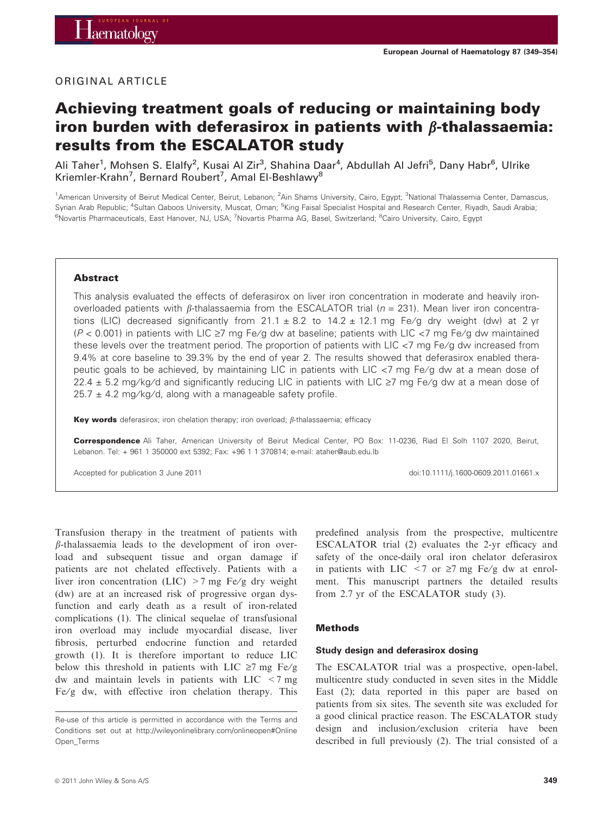## ORIGINAL ARTICLE

# Achieving treatment goals of reducing or maintaining body iron burden with deferasirox in patients with  $\beta$ -thalassaemia: results from the ESCALATOR study

Ali Taher<sup>1</sup>, Mohsen S. Elalfy<sup>2</sup>, Kusai Al Zir<sup>3</sup>, Shahina Daar<sup>4</sup>, Abdullah Al Jefri<sup>5</sup>, Dany Habr<sup>6</sup>, Ulrike Kriemler-Krahn<sup>7</sup>, Bernard Roubert<sup>7</sup>, Amal El-Beshlawy<sup>8</sup>

<sup>1</sup>American University of Beirut Medical Center, Beirut, Lebanon; <sup>2</sup>Ain Shams University, Cairo, Egypt; <sup>3</sup>National Thalassemia Center, Damascus, Syrian Arab Republic; <sup>4</sup>Sultan Qaboos University, Muscat, Oman; <sup>5</sup>King Faisal Specialist Hospital and Research Center, Riyadh, Saudi Arabia; <sup>6</sup>Novartis Pharmaceuticals, East Hanover, NJ, USA; <sup>7</sup>Novartis Pharma AG, Basel, Switzerland; <sup>8</sup>Cairo University, Cairo, Egypt

#### Abstract

This analysis evaluated the effects of deferasirox on liver iron concentration in moderate and heavily ironoverloaded patients with  $\beta$ -thalassaemia from the ESCALATOR trial ( $n = 231$ ). Mean liver iron concentrations (LIC) decreased significantly from  $21.1 \pm 8.2$  to  $14.2 \pm 12.1$  mg Fe/g dry weight (dw) at 2 yr ( $P$  < 0.001) in patients with LIC  $\geq$ 7 mg Fe/g dw at baseline; patients with LIC  $\lt$ 7 mg Fe/g dw maintained these levels over the treatment period. The proportion of patients with LIC <7 mg Fe/g dw increased from 9.4% at core baseline to 39.3% by the end of year 2. The results showed that deferasirox enabled therapeutic goals to be achieved, by maintaining LIC in patients with LIC <7 mg Fe/g dw at a mean dose of 22.4  $\pm$  5.2 mg/kg/d and significantly reducing LIC in patients with LIC  $\ge$ 7 mg Fe/g dw at a mean dose of  $25.7 \pm 4.2$  mg/kg/d, along with a manageable safety profile.

Key words deferasirox; iron chelation therapy; iron overload;  $\beta$ -thalassaemia; efficacy

Correspondence Ali Taher, American University of Beirut Medical Center, PO Box: 11-0236, Riad El Solh 1107 2020, Beirut, Lebanon. Tel: + 961 1 350000 ext 5392; Fax: +96 1 1 370814; e-mail: ataher@aub.edu.lb

Accepted for publication 3 June 2011 **buying the contract of the contract of the contract of the contract of the contract of the contract of the contract of the contract of the contract of the contract of the contract of t** 

Transfusion therapy in the treatment of patients with  $\beta$ -thalassaemia leads to the development of iron overload and subsequent tissue and organ damage if patients are not chelated effectively. Patients with a liver iron concentration (LIC)  $>7$  mg Fe/g dry weight (dw) are at an increased risk of progressive organ dysfunction and early death as a result of iron-related complications (1). The clinical sequelae of transfusional iron overload may include myocardial disease, liver fibrosis, perturbed endocrine function and retarded growth (1). It is therefore important to reduce LIC below this threshold in patients with LIC  $\geq 7$  mg Fe/g dw and maintain levels in patients with LIC <7 mg Fe/g dw, with effective iron chelation therapy. This predefined analysis from the prospective, multicentre ESCALATOR trial (2) evaluates the 2-yr efficacy and safety of the once-daily oral iron chelator deferasirox in patients with LIC  $\leq 7$  or  $\geq 7$  mg Fe/g dw at enrolment. This manuscript partners the detailed results from 2.7 yr of the ESCALATOR study (3).

#### Methods

#### Study design and deferasirox dosing

The ESCALATOR trial was a prospective, open-label, multicentre study conducted in seven sites in the Middle East (2); data reported in this paper are based on patients from six sites. The seventh site was excluded for a good clinical practice reason. The ESCALATOR study design and inclusion/exclusion criteria have been described in full previously (2). The trial consisted of a

Re-use of this article is permitted in accordance with the Terms and Conditions set out at http://wileyonlinelibrary.com/onlineopen#Online Open\_Terms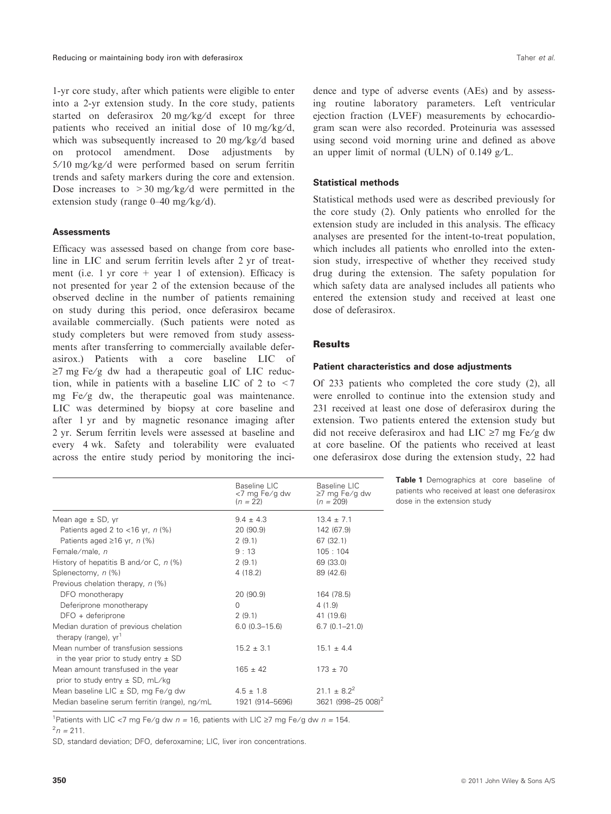1-yr core study, after which patients were eligible to enter into a 2-yr extension study. In the core study, patients started on deferasirox  $20 \text{ mg/kg/d}$  except for three patients who received an initial dose of 10 mg/kg/d, which was subsequently increased to  $20 \text{ mg/kg/d}$  based on protocol amendment. Dose adjustments by  $5/10$  mg/kg/d were performed based on serum ferritin trends and safety markers during the core and extension. Dose increases to  $>30$  mg/kg/d were permitted in the extension study (range  $0-40$  mg/kg/d).

## **Assessments**

Efficacy was assessed based on change from core baseline in LIC and serum ferritin levels after 2 yr of treatment (i.e. 1 yr core  $+$  year 1 of extension). Efficacy is not presented for year 2 of the extension because of the observed decline in the number of patients remaining on study during this period, once deferasirox became available commercially. (Such patients were noted as study completers but were removed from study assessments after transferring to commercially available deferasirox.) Patients with a core baseline LIC of  $\geq$ 7 mg Fe/g dw had a therapeutic goal of LIC reduction, while in patients with a baseline LIC of  $2$  to  $\leq$  7 mg  $Fe/g$  dw, the therapeutic goal was maintenance. LIC was determined by biopsy at core baseline and after 1 yr and by magnetic resonance imaging after 2 yr. Serum ferritin levels were assessed at baseline and every 4 wk. Safety and tolerability were evaluated across the entire study period by monitoring the incidence and type of adverse events (AEs) and by assessing routine laboratory parameters. Left ventricular ejection fraction (LVEF) measurements by echocardiogram scan were also recorded. Proteinuria was assessed using second void morning urine and defined as above an upper limit of normal (ULN) of  $0.149$  g/L.

#### Statistical methods

Statistical methods used were as described previously for the core study (2). Only patients who enrolled for the extension study are included in this analysis. The efficacy analyses are presented for the intent-to-treat population, which includes all patients who enrolled into the extension study, irrespective of whether they received study drug during the extension. The safety population for which safety data are analysed includes all patients who entered the extension study and received at least one dose of deferasirox.

#### Results

#### Patient characteristics and dose adjustments

Of 233 patients who completed the core study (2), all were enrolled to continue into the extension study and 231 received at least one dose of deferasirox during the extension. Two patients entered the extension study but did not receive deferasirox and had LIC  $\geq$ 7 mg Fe/g dw at core baseline. Of the patients who received at least one deferasirox dose during the extension study, 22 had

|                                                                                         | Baseline LIC<br><7 mg Fe/g dw<br>$(n = 22)$ | Baseline LIC<br>$\geq$ 7 mg Fe/g dw<br>$(n = 209)$ |
|-----------------------------------------------------------------------------------------|---------------------------------------------|----------------------------------------------------|
| Mean age $\pm$ SD, yr                                                                   | $9.4 \pm 4.3$                               | $13.4 \pm 7.1$                                     |
| Patients aged 2 to $\langle$ 16 yr, n (%)                                               | 20 (90.9)                                   | 142 (67.9)                                         |
| Patients aged $\geq 16$ yr, n (%)                                                       | 2(9.1)                                      | 67(32.1)                                           |
| Female/male, n                                                                          | 9:13                                        | 105:104                                            |
| History of hepatitis B and/or C, $n$ (%)                                                | 2(9.1)                                      | 69 (33.0)                                          |
| Splenectomy, n (%)                                                                      | 4(18.2)                                     | 89 (42.6)                                          |
| Previous chelation therapy, n (%)                                                       |                                             |                                                    |
| DFO monotherapy                                                                         | 20 (90.9)                                   | 164 (78.5)                                         |
| Deferiprone monotherapy                                                                 | $\Omega$                                    | 4(1.9)                                             |
| $DFO +$ deferiprone                                                                     | 2(9.1)                                      | 41 (19.6)                                          |
| Median duration of previous chelation<br>therapy (range), $yr1$                         | $6.0(0.3 - 15.6)$                           | $6.7(0.1 - 21.0)$                                  |
| Mean number of transfusion sessions<br>in the year prior to study entry $\pm$ SD        | $15.2 \pm 3.1$                              | $15.1 \pm 4.4$                                     |
| Mean amount transfused in the year<br>prior to study entry $\pm$ SD, mL/kg              | $165 \pm 42$                                | $173 + 70$                                         |
| Mean baseline LIC $\pm$ SD, mg Fe/g dw<br>Median baseline serum ferritin (range), ng/mL | $4.5 \pm 1.8$<br>1921 (914–5696)            | $21.1 + 8.2^2$<br>3621 (998-25 008) <sup>2</sup>   |

Table 1 Demographics at core baseline of patients who received at least one deferasirox dose in the extension study

<sup>1</sup>Patients with LIC <7 mg Fe/g dw  $n = 16$ , patients with LIC  $\geq$ 7 mg Fe/g dw  $n = 154$ .  $n = 211$ .

SD, standard deviation; DFO, deferoxamine; LIC, liver iron concentrations.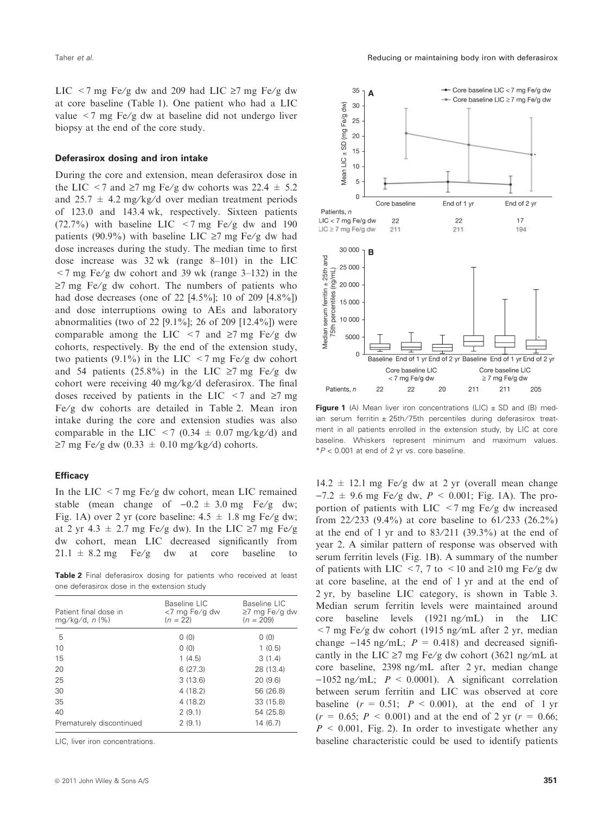LIC <7 mg Fe/g dw and 209 had LIC  $\ge$ 7 mg Fe/g dw at core baseline (Table 1). One patient who had a LIC value  $\langle 7 \rangle$  mg Fe/g dw at baseline did not undergo liver biopsy at the end of the core study.

#### Deferasirox dosing and iron intake

During the core and extension, mean deferasirox dose in the LIC <7 and  $\ge$ 7 mg Fe/g dw cohorts was 22.4  $\pm$  5.2 and 25.7  $\pm$  4.2 mg/kg/d over median treatment periods of 123.0 and 143.4 wk, respectively. Sixteen patients (72.7%) with baseline LIC  $\lt$  7 mg Fe/g dw and 190 patients (90.9%) with baseline LIC  $\geq$ 7 mg Fe/g dw had dose increases during the study. The median time to first dose increase was 32 wk (range 8–101) in the LIC  $\leq$  7 mg Fe/g dw cohort and 39 wk (range 3–132) in the  $\ge$ 7 mg Fe/g dw cohort. The numbers of patients who had dose decreases (one of 22 [4.5%]; 10 of 209 [4.8%]) and dose interruptions owing to AEs and laboratory abnormalities (two of 22 [9.1%]; 26 of 209 [12.4%]) were comparable among the LIC  $\leq$  7 and  $\geq$  7 mg Fe/g dw cohorts, respectively. By the end of the extension study, two patients (9.1%) in the LIC  $\leq$ 7 mg Fe/g dw cohort and 54 patients (25.8%) in the LIC  $\ge$ 7 mg Fe/g dw cohort were receiving 40 mg/kg/d deferasirox. The final doses received by patients in the LIC  $\leq$  7 and  $\geq$ 7 mg Fe/g dw cohorts are detailed in Table 2. Mean iron intake during the core and extension studies was also comparable in the LIC  $\leq$  7 (0.34  $\pm$  0.07 mg/kg/d) and  $\geq$ 7 mg Fe/g dw (0.33  $\pm$  0.10 mg/kg/d) cohorts.

#### **Efficacy**

In the LIC  $\leq$  7 mg Fe/g dw cohort, mean LIC remained stable (mean change of  $-0.2 \pm 3.0$  mg Fe/g dw; Fig. 1A) over 2 yr (core baseline:  $4.5 \pm 1.8$  mg Fe/g dw; at 2 yr 4.3  $\pm$  2.7 mg Fe/g dw). In the LIC  $\geq$ 7 mg Fe/g dw cohort, mean LIC decreased significantly from  $21.1 \pm 8.2$  mg Fe/g dw at core baseline to

Table 2 Final deferasirox dosing for patients who received at least one deferasirox dose in the extension study

| Patient final dose in<br>$mq/kg/d, n$ (%) | Baseline LIC<br><7 mg Fe/g dw<br>$(n = 22)$ | Baseline LIC<br>$\geq$ 7 mg Fe/g dw<br>$(n = 209)$ |
|-------------------------------------------|---------------------------------------------|----------------------------------------------------|
| 5                                         | 0(0)                                        | 0(0)                                               |
| 10                                        | 0(0)                                        | 1(0.5)                                             |
| 15                                        | 1(4.5)                                      | 3(1.4)                                             |
| 20                                        | 6(27.3)                                     | 28 (13.4)                                          |
| 25                                        | 3(13.6)                                     | 20(9.6)                                            |
| 30                                        | 4 (18.2)                                    | 56 (26.8)                                          |
| 35                                        | 4 (18.2)                                    | 33 (15.8)                                          |
| 40                                        | 2(9.1)                                      | 54 (25.8)                                          |
| Prematurely discontinued                  | 2(9.1)                                      | 14(6.7)                                            |

LIC, liver iron concentrations.



Figure 1 (A) Mean liver iron concentrations (LIC)  $\pm$  SD and (B) median serum ferritin  $\pm$  25th/75th percentiles during deferasirox treatment in all patients enrolled in the extension study, by LIC at core baseline. Whiskers represent minimum and maximum values.  $*P < 0.001$  at end of 2 yr vs. core baseline.

 $14.2 \pm 12.1$  mg Fe/g dw at 2 yr (overall mean change  $-7.2 \pm 9.6$  mg Fe/g dw,  $P < 0.001$ ; Fig. 1A). The proportion of patients with LIC  $\lt$  7 mg Fe/g dw increased from 22/233 (9.4%) at core baseline to  $61/233$  (26.2%) at the end of 1 yr and to  $83/211$   $(39.3\%)$  at the end of year 2. A similar pattern of response was observed with serum ferritin levels (Fig. 1B). A summary of the number of patients with LIC <7, 7 to <10 and  $\geq$ 10 mg Fe/g dw at core baseline, at the end of 1 yr and at the end of 2 yr, by baseline LIC category, is shown in Table 3. Median serum ferritin levels were maintained around core baseline levels  $(1921 \text{ ng/mL})$  in the LIC  $\langle 7 \rangle$  mg Fe/g dw cohort (1915 ng/mL after 2 yr, median change  $-145$  ng/mL;  $P = 0.418$ ) and decreased significantly in the LIC  $\geq$ 7 mg Fe/g dw cohort (3621 ng/mL at core baseline, 2398 ng/mL after 2 yr, median change  $-1052$  ng/mL;  $P < 0.0001$ ). A significant correlation between serum ferritin and LIC was observed at core baseline  $(r = 0.51; P < 0.001)$ , at the end of 1 yr  $(r = 0.65; P < 0.001)$  and at the end of 2 yr  $(r = 0.66;$  $P \le 0.001$ , Fig. 2). In order to investigate whether any baseline characteristic could be used to identify patients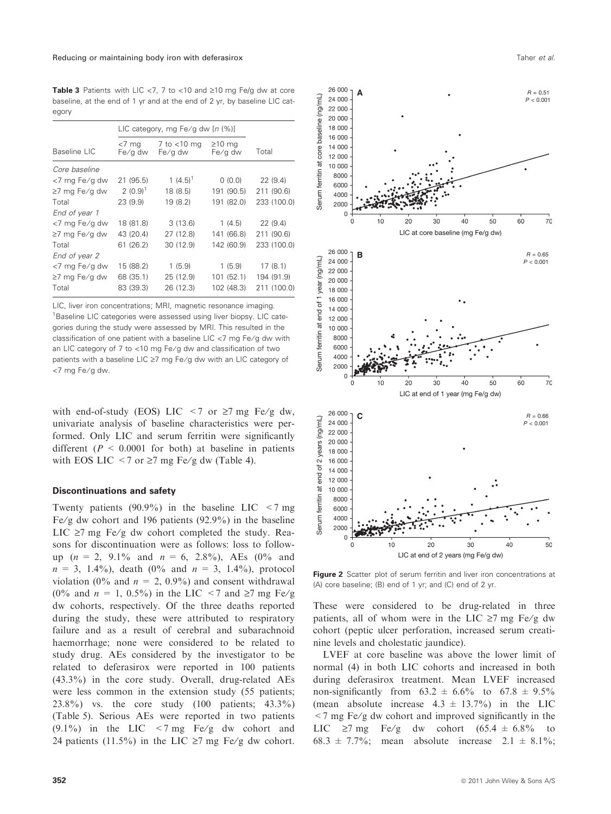Table 3 Patients with LIC <7, 7 to <10 and  $\geq$ 10 mg Fe/g dw at core baseline, at the end of 1 yr and at the end of 2 yr, by baseline LIC category

|               | LIC category, mg Fe/g dw $[n \ (\%)]$ |                             |                         |             |
|---------------|---------------------------------------|-----------------------------|-------------------------|-------------|
| Baseline LIC  | <7 mg<br>Fe/g dw                      | $7$ to $<$ 10 mg<br>Fe/g dw | $\geq$ 10 mg<br>Fe/g dw | Total       |
| Core baseline |                                       |                             |                         |             |
| <7 mg Fe/g dw | 21 (95.5)                             | 1 $(4.5)^1$                 | 0(0.0)                  | 22(9.4)     |
| ≥7 mg Fe/g dw | $2(0.9)^1$                            | 18 (8.5)                    | 191 (90.5)              | 211 (90.6)  |
| Total         | 23(9.9)                               | 19 (8.2)                    | 191 (82.0)              | 233 (100.0) |
| End of year 1 |                                       |                             |                         |             |
| <7 mg Fe/g dw | 18 (81.8)                             | 3(13.6)                     | 1(4.5)                  | 22(9.4)     |
| ≥7 mg Fe/g dw | 43 (20.4)                             | 27 (12.8)                   | 141 (66.8)              | 211 (90.6)  |
| Total         | 61(26.2)                              | 30 (12.9)                   | 142 (60.9)              | 233 (100.0) |
| End of year 2 |                                       |                             |                         |             |
| <7 mg Fe/g dw | 15 (88.2)                             | 1(5.9)                      | 1(5.9)                  | 17(8.1)     |
| ≥7 mg Fe/g dw | 68 (35.1)                             | 25 (12.9)                   | 101(52.1)               | 194 (91.9)  |
| Total         | 83 (39.3)                             | 26 (12.3)                   | 102 (48.3)              | 211 (100.0) |

LIC, liver iron concentrations; MRI, magnetic resonance imaging. <sup>1</sup>Baseline LIC categories were assessed using liver biopsy. LIC categories during the study were assessed by MRI. This resulted in the classification of one patient with a baseline LIC  $<$ 7 mg Fe/g dw with an LIC category of 7 to  $<$ 10 mg Fe/g dw and classification of two patients with a baseline LIC  $\geq$ 7 mg Fe/g dw with an LIC category of <7 mg Fe/g dw.

with end-of-study (EOS) LIC  $\leq$  7 or  $\geq$  7 mg Fe/g dw, univariate analysis of baseline characteristics were performed. Only LIC and serum ferritin were significantly different ( $P \le 0.0001$  for both) at baseline in patients with EOS LIC <7 or  $\ge$ 7 mg Fe/g dw (Table 4).

#### Discontinuations and safety

Twenty patients (90.9%) in the baseline LIC  $\leq$ 7 mg Fe/g dw cohort and 196 patients  $(92.9\%)$  in the baseline LIC  $\ge$ 7 mg Fe/g dw cohort completed the study. Reasons for discontinuation were as follows: loss to followup ( $n = 2$ , 9.1% and  $n = 6$ , 2.8%), AEs (0% and  $n = 3, 1.4\%$ , death (0% and  $n = 3, 1.4\%$ ), protocol violation (0% and  $n = 2, 0.9\%$ ) and consent withdrawal (0% and  $n = 1$ , 0.5%) in the LIC <7 and  $\ge 7$  mg Fe/g dw cohorts, respectively. Of the three deaths reported during the study, these were attributed to respiratory failure and as a result of cerebral and subarachnoid haemorrhage; none were considered to be related to study drug. AEs considered by the investigator to be related to deferasirox were reported in 100 patients (43.3%) in the core study. Overall, drug-related AEs were less common in the extension study (55 patients; 23.8%) vs. the core study (100 patients; 43.3%) (Table 5). Serious AEs were reported in two patients  $(9.1\%)$  in the LIC <7 mg Fe/g dw cohort and 24 patients (11.5%) in the LIC  $\geq$ 7 mg Fe/g dw cohort.



**A**

 $26000 -$ 

24,000

> 4000 2000  $\Omega$

26 000

22 000 20 000 vear 18 000

> 8000 6000

 $4000$ 2000  $\Omega$ 

baseline (ng/mL)

ferritin at

Serum

 $(nq/mL)$ 24 000

 $\frac{1}{\sigma}$ 16,000 14 000 end 12,000  $\vec{a}$ 10 000

ferritin

Serum

**B**

 $\Omega$ 



Figure 2 Scatter plot of serum ferritin and liver iron concentrations at (A) core baseline; (B) end of 1 yr; and (C) end of 2 yr.

These were considered to be drug-related in three patients, all of whom were in the LIC  $\ge$ 7 mg Fe/g dw cohort (peptic ulcer perforation, increased serum creatinine levels and cholestatic jaundice).

LVEF at core baseline was above the lower limit of normal (4) in both LIC cohorts and increased in both during deferasirox treatment. Mean LVEF increased non-significantly from  $63.2 \pm 6.6\%$  to  $67.8 \pm 9.5\%$ (mean absolute increase  $4.3 \pm 13.7\%$ ) in the LIC  $\leq$  7 mg Fe/g dw cohort and improved significantly in the LIC  $\ge$ 7 mg Fe/g dw cohort (65.4  $\pm$  6.8% to 68.3  $\pm$  7.7%; mean absolute increase 2.1  $\pm$  8.1%;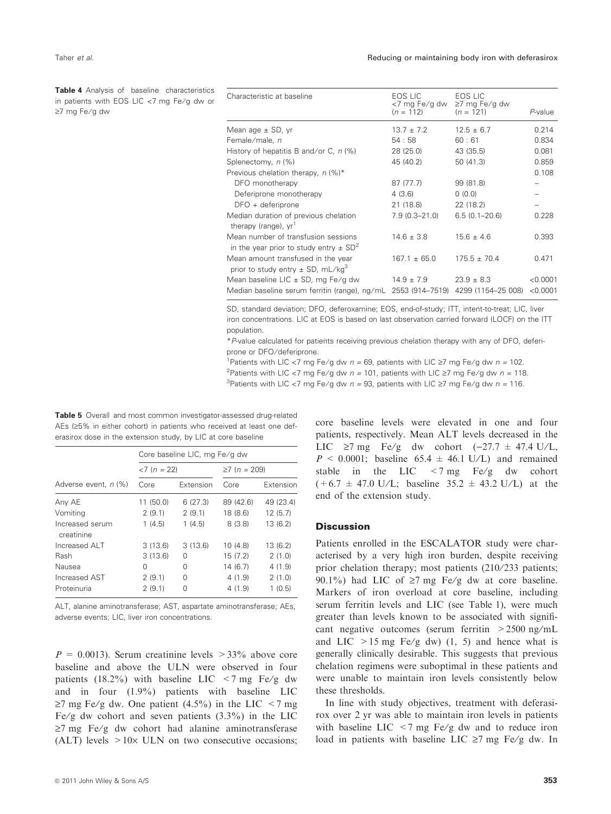≥7 mg Fe/g dw

Table 4 Analysis of baseline characteristics in patients with EOS LIC  $<$ 7 mg Fe/g dw or

| Characteristic at baseline                                                                    | EOS LIC<br><7 mg Fe/g dw<br>$(n = 112)$ | EOS LIC<br>≥7 mg Fe/g dw<br>$(n = 121)$ | P-value  |
|-----------------------------------------------------------------------------------------------|-----------------------------------------|-----------------------------------------|----------|
| Mean age $\pm$ SD, yr                                                                         | $13.7 \pm 7.2$                          | $12.5 \pm 6.7$                          | 0.214    |
| Female/male, n                                                                                | 54:58                                   | 60:61                                   | 0.834    |
| History of hepatitis B and/or C, $n$ (%)                                                      | 28 (25.0)                               | 43 (35.5)                               | 0.081    |
| Splenectomy, n (%)                                                                            | 45 (40.2)                               | 50(41.3)                                | 0.859    |
| Previous chelation therapy, $n$ (%)*                                                          |                                         |                                         | 0.108    |
| DFO monotherapy                                                                               | 87 (77.7)                               | 99 (81.8)                               |          |
| Deferiprone monotherapy                                                                       | 4(3.6)                                  | 0(0.0)                                  |          |
| $DFO +$ deferiprone                                                                           | 21 (18.8)                               | 22 (18.2)                               |          |
| Median duration of previous chelation<br>therapy (range), yr <sup>1</sup>                     | $7.9(0.3 - 21.0)$                       | $6.5(0.1 - 20.6)$                       | 0.228    |
| Mean number of transfusion sessions<br>in the year prior to study entry $\pm$ SD <sup>2</sup> | $14.6 \pm 3.8$                          | $15.6 \pm 4.6$                          | 0.393    |
| Mean amount transfused in the year<br>prior to study entry $\pm$ SD, mL/kg <sup>3</sup>       | $167.1 \pm 65.0$                        | $175.5 \pm 70.4$                        | 0.471    |
| Mean baseline LIC $\pm$ SD, mg Fe/g dw                                                        | $14.9 \pm 7.9$                          | $23.9 \pm 8.3$                          | < 0.0001 |
| Median baseline serum ferritin (range), ng/mL                                                 | 2553 (914-7519)                         | 4299 (1154–25 008)                      | < 0.0001 |

SD, standard deviation; DFO, deferoxamine; EOS, end-of-study; ITT, intent-to-treat; LIC, liver iron concentrations. LIC at EOS is based on last observation carried forward (LOCF) on the ITT population.

\*P-value calculated for patients receiving previous chelation therapy with any of DFO, deferiprone or DFO/deferiprone.

<sup>1</sup> Patients with LIC <7 mg Fe/g dw  $n = 69$ , patients with LIC  $\geq$ 7 mg Fe/g dw  $n = 102$ .

<sup>2</sup> Patients with LIC <7 mg Fe/g dw  $n = 101$ , patients with LIC ≥7 mg Fe/g dw  $n = 118$ . <sup>3</sup>Patients with LIC <7 mg Fe/g dw  $n = 93$ , patients with LIC ≥7 mg Fe/g dw  $n = 116$ .

Table 5 Overall and most common investigator-assessed drug-related AEs  $(25\%$  in either cohort) in patients who received at least one deferasirox dose in the extension study, by LIC at core baseline

|                               | Core baseline LIC, mg Fe/g dw |           |                    |           |
|-------------------------------|-------------------------------|-----------|--------------------|-----------|
|                               | $<7 (n = 22)$                 |           | $\geq 7$ (n = 209) |           |
| Adverse event, n (%)          | Core                          | Extension | Core               | Extension |
| Any AE                        | 11 (50.0)                     | 6(27.3)   | 89 (42.6)          | 49 (23.4) |
| Vomiting                      | 2(9.1)                        | 2(9.1)    | 18 (8.6)           | 12(5.7)   |
| Increased serum<br>creatinine | 1(4.5)                        | 1(4.5)    | 8(3.8)             | 13(6.2)   |
| Increased ALT                 | 3(13.6)                       | 3(13.6)   | 10(4.8)            | 13(6.2)   |
| Rash                          | 3(13.6)                       | 0         | 15(7.2)            | 2(1.0)    |
| Nausea                        | 0                             | 0         | 14(6.7)            | 4(1.9)    |
| Increased AST                 | 2(9.1)                        | $\Omega$  | 4(1.9)             | 2(1.0)    |
| Proteinuria                   | 2(9.1)                        | O         | 4(1.9)             | 1(0.5)    |

ALT, alanine aminotransferase; AST, aspartate aminotransferase; AEs, adverse events; LIC, liver iron concentrations.

 $P = 0.0013$ . Serum creatinine levels  $> 33\%$  above core baseline and above the ULN were observed in four patients (18.2%) with baseline LIC  $\lt$  7 mg Fe/g dw and in four (1.9%) patients with baseline LIC  $\geq$ 7 mg Fe/g dw. One patient (4.5%) in the LIC <7 mg Fe/g dw cohort and seven patients  $(3.3\%)$  in the LIC  $\geq$ 7 mg Fe/g dw cohort had alanine aminotransferase (ALT) levels  $>10\times$  ULN on two consecutive occasions; core baseline levels were elevated in one and four patients, respectively. Mean ALT levels decreased in the LIC  $\ge$ 7 mg Fe/g dw cohort (-27.7  $\pm$  47.4 U/L,  $P \le 0.0001$ ; baseline 65.4  $\pm$  46.1 U/L) and remained stable in the LIC  $\lt$  7 mg Fe/g dw cohort  $(+6.7 \pm 47.0 \text{ U/L}; \text{ baseline } 35.2 \pm 43.2 \text{ U/L}) \text{ at the}$ end of the extension study.

## **Discussion**

Patients enrolled in the ESCALATOR study were characterised by a very high iron burden, despite receiving prior chelation therapy; most patients (210/233 patients; 90.1%) had LIC of  $\geq$ 7 mg Fe/g dw at core baseline. Markers of iron overload at core baseline, including serum ferritin levels and LIC (see Table 1), were much greater than levels known to be associated with significant negative outcomes (serum ferritin  $>2500$  ng/mL and LIC  $>15$  mg Fe/g dw) (1, 5) and hence what is generally clinically desirable. This suggests that previous chelation regimens were suboptimal in these patients and were unable to maintain iron levels consistently below these thresholds.

In line with study objectives, treatment with deferasirox over 2 yr was able to maintain iron levels in patients with baseline LIC  $\leq$  7 mg Fe/g dw and to reduce iron load in patients with baseline LIC  $\geq$ 7 mg Fe/g dw. In